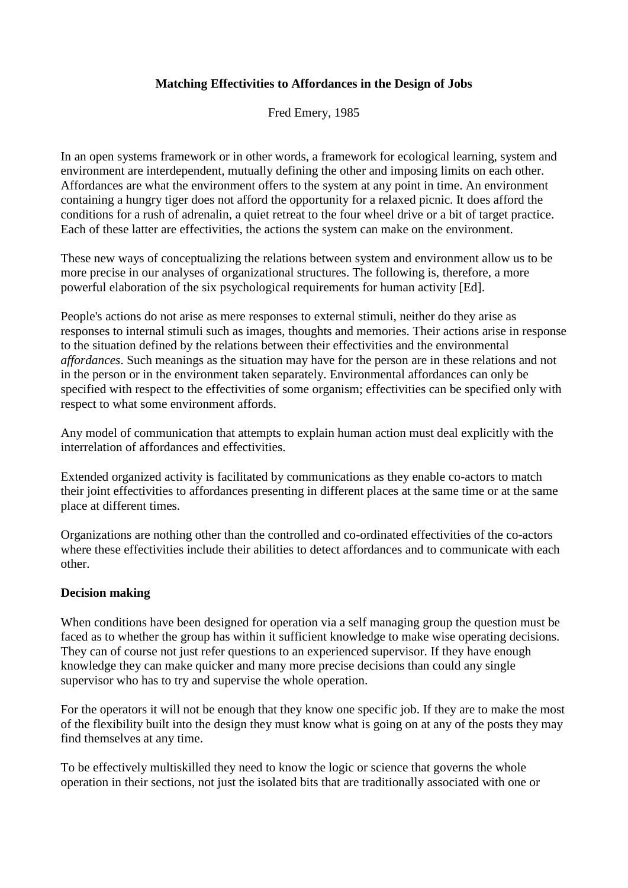# **Matching Effectivities to Affordances in the Design of Jobs**

Fred Emery, 1985

In an open systems framework or in other words, a framework for ecological learning, system and environment are interdependent, mutually defining the other and imposing limits on each other. Affordances are what the environment offers to the system at any point in time. An environment containing a hungry tiger does not afford the opportunity for a relaxed picnic. It does afford the conditions for a rush of adrenalin, a quiet retreat to the four wheel drive or a bit of target practice. Each of these latter are effectivities, the actions the system can make on the environment.

These new ways of conceptualizing the relations between system and environment allow us to be more precise in our analyses of organizational structures. The following is, therefore, a more powerful elaboration of the six psychological requirements for human activity [Ed].

People's actions do not arise as mere responses to external stimuli, neither do they arise as responses to internal stimuli such as images, thoughts and memories. Their actions arise in response to the situation defined by the relations between their effectivities and the environmental *affordances*. Such meanings as the situation may have for the person are in these relations and not in the person or in the environment taken separately. Environmental affordances can only be specified with respect to the effectivities of some organism; effectivities can be specified only with respect to what some environment affords.

Any model of communication that attempts to explain human action must deal explicitly with the interrelation of affordances and effectivities.

Extended organized activity is facilitated by communications as they enable co-actors to match their joint effectivities to affordances presenting in different places at the same time or at the same place at different times.

Organizations are nothing other than the controlled and co-ordinated effectivities of the co-actors where these effectivities include their abilities to detect affordances and to communicate with each other.

#### **Decision making**

When conditions have been designed for operation via a self managing group the question must be faced as to whether the group has within it sufficient knowledge to make wise operating decisions. They can of course not just refer questions to an experienced supervisor. If they have enough knowledge they can make quicker and many more precise decisions than could any single supervisor who has to try and supervise the whole operation.

For the operators it will not be enough that they know one specific job. If they are to make the most of the flexibility built into the design they must know what is going on at any of the posts they may find themselves at any time.

To be effectively multiskilled they need to know the logic or science that governs the whole operation in their sections, not just the isolated bits that are traditionally associated with one or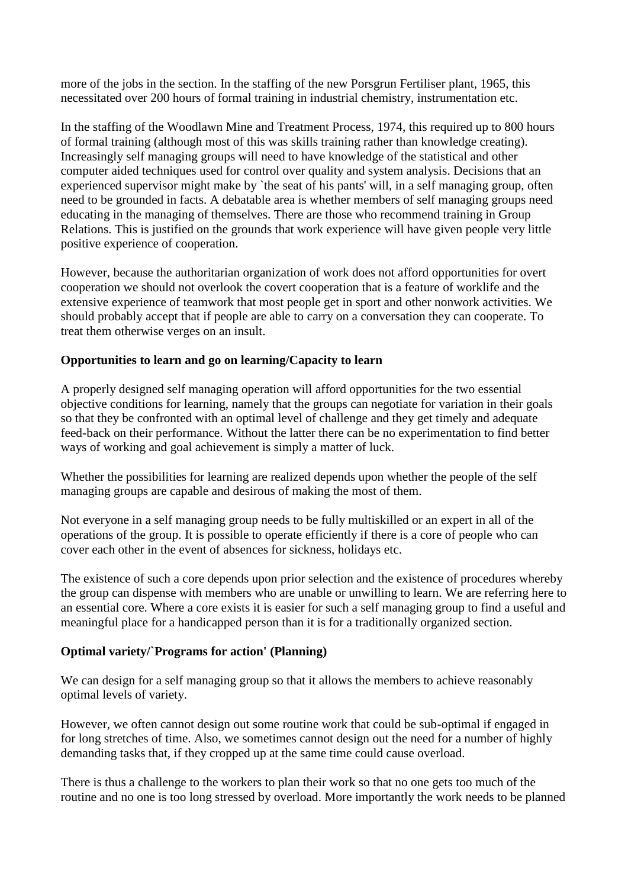more of the jobs in the section. In the staffing of the new Porsgrun Fertiliser plant, 1965, this necessitated over 200 hours of formal training in industrial chemistry, instrumentation etc.

In the staffing of the Woodlawn Mine and Treatment Process, 1974, this required up to 800 hours of formal training (although most of this was skills training rather than knowledge creating). Increasingly self managing groups will need to have knowledge of the statistical and other computer aided techniques used for control over quality and system analysis. Decisions that an experienced supervisor might make by 'the seat of his pants' will, in a self managing group, often need to be grounded in facts. A debatable area is whether members of self managing groups need educating in the managing of themselves. There are those who recommend training in Group Relations. This is justified on the grounds that work experience will have given people very little positive experience of cooperation.

However, because the authoritarian organization of work does not afford opportunities for overt cooperation we should not overlook the covert cooperation that is a feature of worklife and the extensive experience of teamwork that most people get in sport and other nonwork activities. We should probably accept that if people are able to carry on a conversation they can cooperate. To treat them otherwise verges on an insult.

## **Opportunities to learn and go on learning/Capacity to learn**

A properly designed self managing operation will afford opportunities for the two essential objective conditions for learning, namely that the groups can negotiate for variation in their goals so that they be confronted with an optimal level of challenge and they get timely and adequate feed-back on their performance. Without the latter there can be no experimentation to find better ways of working and goal achievement is simply a matter of luck.

Whether the possibilities for learning are realized depends upon whether the people of the self managing groups are capable and desirous of making the most of them.

Not everyone in a self managing group needs to be fully multiskilled or an expert in all of the operations of the group. It is possible to operate efficiently if there is a core of people who can cover each other in the event of absences for sickness, holidays etc.

The existence of such a core depends upon prior selection and the existence of procedures whereby the group can dispense with members who are unable or unwilling to learn. We are referring here to an essential core. Where a core exists it is easier for such a self managing group to find a useful and meaningful place for a handicapped person than it is for a traditionally organized section.

#### **Optimal variety/`Programs for action' (Planning)**

We can design for a self managing group so that it allows the members to achieve reasonably optimal levels of variety.

However, we often cannot design out some routine work that could be sub-optimal if engaged in for long stretches of time. Also, we sometimes cannot design out the need for a number of highly demanding tasks that, if they cropped up at the same time could cause overload.

There is thus a challenge to the workers to plan their work so that no one gets too much of the routine and no one is too long stressed by overload. More importantly the work needs to be planned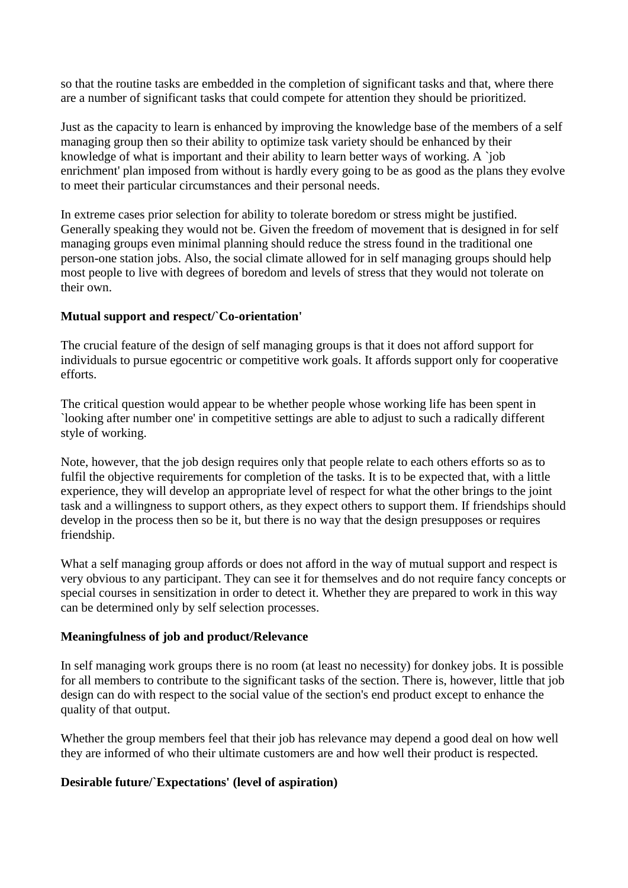so that the routine tasks are embedded in the completion of significant tasks and that, where there are a number of significant tasks that could compete for attention they should be prioritized.

Just as the capacity to learn is enhanced by improving the knowledge base of the members of a self managing group then so their ability to optimize task variety should be enhanced by their knowledge of what is important and their ability to learn better ways of working. A `job enrichment' plan imposed from without is hardly every going to be as good as the plans they evolve to meet their particular circumstances and their personal needs.

In extreme cases prior selection for ability to tolerate boredom or stress might be justified. Generally speaking they would not be. Given the freedom of movement that is designed in for self managing groups even minimal planning should reduce the stress found in the traditional one person-one station jobs. Also, the social climate allowed for in self managing groups should help most people to live with degrees of boredom and levels of stress that they would not tolerate on their own.

## **Mutual support and respect/`Co-orientation'**

The crucial feature of the design of self managing groups is that it does not afford support for individuals to pursue egocentric or competitive work goals. It affords support only for cooperative efforts.

The critical question would appear to be whether people whose working life has been spent in `looking after number one' in competitive settings are able to adjust to such a radically different style of working.

Note, however, that the job design requires only that people relate to each others efforts so as to fulfil the objective requirements for completion of the tasks. It is to be expected that, with a little experience, they will develop an appropriate level of respect for what the other brings to the joint task and a willingness to support others, as they expect others to support them. If friendships should develop in the process then so be it, but there is no way that the design presupposes or requires friendship.

What a self managing group affords or does not afford in the way of mutual support and respect is very obvious to any participant. They can see it for themselves and do not require fancy concepts or special courses in sensitization in order to detect it. Whether they are prepared to work in this way can be determined only by self selection processes.

## **Meaningfulness of job and product/Relevance**

In self managing work groups there is no room (at least no necessity) for donkey jobs. It is possible for all members to contribute to the significant tasks of the section. There is, however, little that job design can do with respect to the social value of the section's end product except to enhance the quality of that output.

Whether the group members feel that their job has relevance may depend a good deal on how well they are informed of who their ultimate customers are and how well their product is respected.

## **Desirable future/`Expectations' (level of aspiration)**